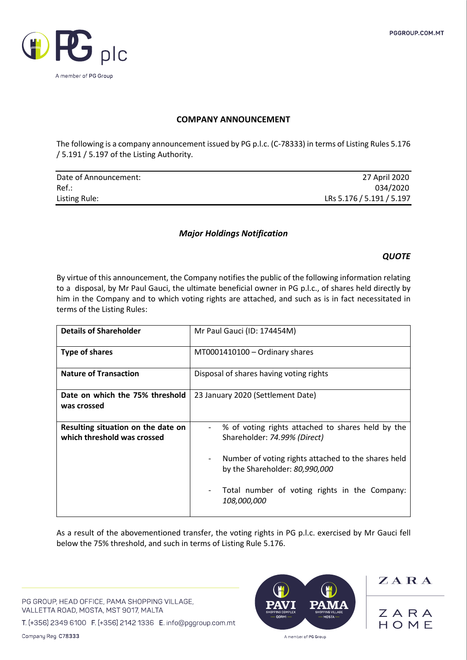

## **COMPANY ANNOUNCEMENT**

The following is a company announcement issued by PG p.l.c. (C-78333) in terms of Listing Rules 5.176 / 5.191 / 5.197 of the Listing Authority.

| Date of Announcement: | 27 April 2020             |
|-----------------------|---------------------------|
| $Ref.$ :              | 034/2020                  |
| Listing Rule:         | LRs 5.176 / 5.191 / 5.197 |

## *Major Holdings Notification*

## *QUOTE*

By virtue of this announcement, the Company notifies the public of the following information relating to a disposal, by Mr Paul Gauci, the ultimate beneficial owner in PG p.l.c., of shares held directly by him in the Company and to which voting rights are attached, and such as is in fact necessitated in terms of the Listing Rules:

| <b>Details of Shareholder</b>                                     | Mr Paul Gauci (ID: 174454M)                                                                                   |
|-------------------------------------------------------------------|---------------------------------------------------------------------------------------------------------------|
| Type of shares                                                    | MT0001410100 - Ordinary shares                                                                                |
| <b>Nature of Transaction</b>                                      | Disposal of shares having voting rights                                                                       |
| Date on which the 75% threshold<br>was crossed                    | 23 January 2020 (Settlement Date)                                                                             |
| Resulting situation on the date on<br>which threshold was crossed | % of voting rights attached to shares held by the<br>$\overline{\phantom{a}}$<br>Shareholder: 74.99% (Direct) |
|                                                                   | Number of voting rights attached to the shares held<br>by the Shareholder: 80,990,000                         |
|                                                                   | Total number of voting rights in the Company:<br><i>108,000,000</i>                                           |

As a result of the abovementioned transfer, the voting rights in PG p.l.c. exercised by Mr Gauci fell below the 75% threshold, and such in terms of Listing Rule 5.176.

PG GROUP, HEAD OFFICE, PAMA SHOPPING VILLAGE, VALLETTA ROAD, MOSTA, MST 9017, MALTA

T. (+356) 2349 6100 F. (+356) 2142 1336 E. info@pggroup.com.mt



ZARA

ZARA HOMF